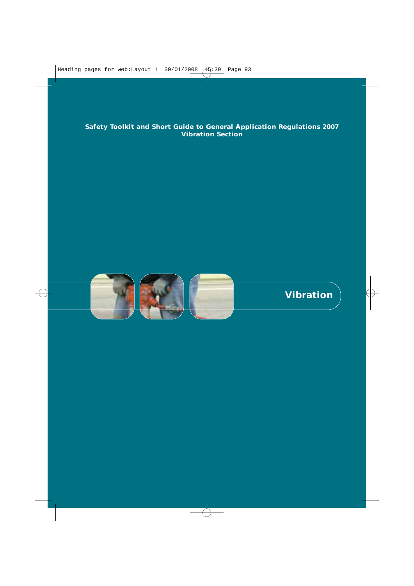#### **Safety Toolkit and Short Guide to General Application Regulations 2007 Vibration Section**

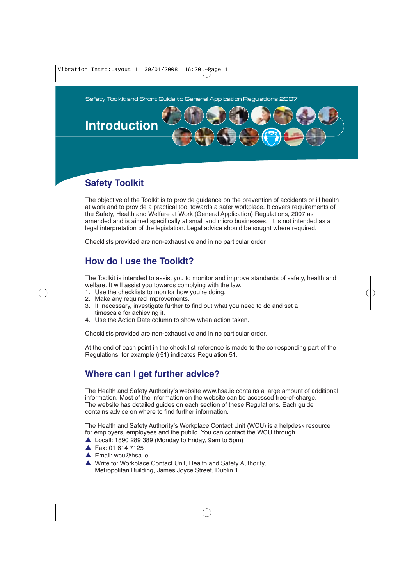Safety Toolkit and Short Guide to General Application Regulations 2007



# **Safety Toolkit**

The objective of the Toolkit is to provide guidance on the prevention of accidents or ill health at work and to provide a practical tool towards a safer workplace. It covers requirements of the Safety, Health and Welfare at Work (General Application) Regulations, 2007 as amended and is aimed specifically at small and micro businesses. It is not intended as a legal interpretation of the legislation. Legal advice should be sought where required.

Checklists provided are non-exhaustive and in no particular order

## **How do I use the Toolkit?**

The Toolkit is intended to assist you to monitor and improve standards of safety, health and welfare. It will assist you towards complying with the law.

- 1. Use the checklists to monitor how you're doing.
- 2. Make any required improvements.
- 3. If necessary, investigate further to find out what you need to do and set a timescale for achieving it.
- 4. Use the Action Date column to show when action taken.

Checklists provided are non-exhaustive and in no particular order.

At the end of each point in the check list reference is made to the corresponding part of the Regulations, for example (r51) indicates Regulation 51.

### **Where can I get further advice?**

The Health and Safety Authority's website www.hsa.ie contains a large amount of additional information. Most of the information on the website can be accessed free-of-charge. The website has detailed guides on each section of these Regulations. Each guide contains advice on where to find further information.

The Health and Safety Authority's Workplace Contact Unit (WCU) is a helpdesk resource for employers, employees and the public. You can contact the WCU through

- ▲ Locall: 1890 289 389 (Monday to Friday, 9am to 5pm)
- ▲ Fax: 01 614 7125
- ▲ Email: wcu@hsa.ie
- ▲ Write to: Workplace Contact Unit, Health and Safety Authority, Metropolitan Building, James Joyce Street, Dublin 1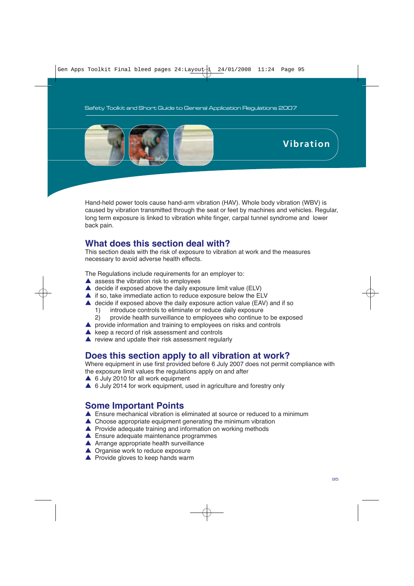

Hand-held power tools cause hand-arm vibration (HAV). Whole body vibration (WBV) is caused by vibration transmitted through the seat or feet by machines and vehicles. Regular, long term exposure is linked to vibration white finger, carpal tunnel syndrome and lower back pain.

### **What does this section deal with?**

This section deals with the risk of exposure to vibration at work and the measures necessary to avoid adverse health effects.

The Regulations include requirements for an employer to:

- $\triangle$  assess the vibration risk to employees
- $\triangle$  decide if exposed above the daily exposure limit value (ELV)
- $\triangle$  if so, take immediate action to reduce exposure below the ELV
- $\triangle$  decide if exposed above the daily exposure action value (EAV) and if so
	- 1) introduce controls to eliminate or reduce daily exposure
	- 2) provide health surveillance to employees who continue to be exposed
- ▲ provide information and training to employees on risks and controls
- ▲ keep a record of risk assessment and controls
- $\triangle$  review and update their risk assessment regularly

### **Does this section apply to all vibration at work?**

Where equipment in use first provided before 6 July 2007 does not permit compliance with the exposure limit values the regulations apply on and after

- ▲ 6 July 2010 for all work equipment
- ▲ 6 July 2014 for work equipment, used in agriculture and forestry only

### **Some Important Points**

- ▲ Ensure mechanical vibration is eliminated at source or reduced to a minimum
- $\triangle$  Choose appropriate equipment generating the minimum vibration
- ▲ Provide adequate training and information on working methods
- ▲ Ensure adequate maintenance programmes
- ▲ Arrange appropriate health surveillance
- **▲ Organise work to reduce exposure**
- ▲ Provide gloves to keep hands warm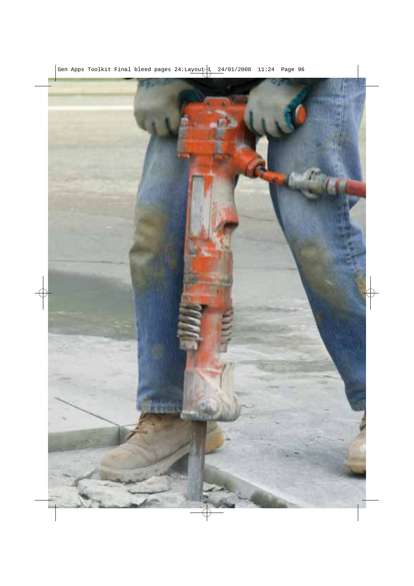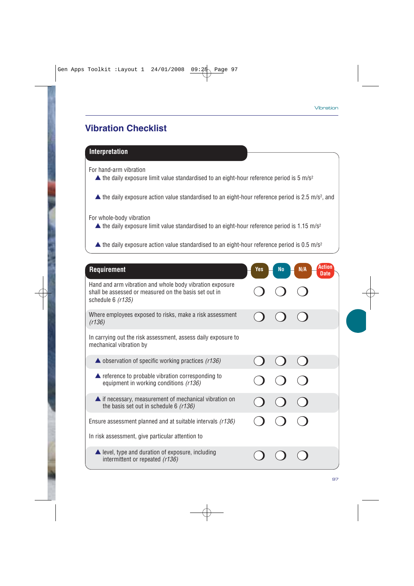# **Vibration Checklist**

#### **Interpretation**

For hand-arm vibration

 $\triangle$  the daily exposure limit value standardised to an eight-hour reference period is 5 m/s<sup>2</sup>

 $\blacktriangle$  the daily exposure action value standardised to an eight-hour reference period is 2.5 m/s<sup>2</sup>, and

For whole-body vibration

 $\triangle$  the daily exposure limit value standardised to an eight-hour reference period is 1.15 m/s<sup>2</sup>

 $\triangle$  the daily exposure action value standardised to an eight-hour reference period is 0.5 m/s<sup>2</sup>

| <b>Requirement</b>                                                                                                                     | Yes | <b>No</b> | Action<br>N/A<br>Date |  |
|----------------------------------------------------------------------------------------------------------------------------------------|-----|-----------|-----------------------|--|
| Hand and arm vibration and whole body vibration exposure<br>shall be assessed or measured on the basis set out in<br>schedule 6 (r135) |     |           |                       |  |
| Where employees exposed to risks, make a risk assessment<br>(r136)                                                                     |     |           |                       |  |
| In carrying out the risk assessment, assess daily exposure to<br>mechanical vibration by                                               |     |           |                       |  |
| $\triangle$ observation of specific working practices (r136)                                                                           |     |           |                       |  |
| $\blacktriangle$ reference to probable vibration corresponding to<br>equipment in working conditions (r136)                            |     |           |                       |  |
| $\blacktriangle$ if necessary, measurement of mechanical vibration on<br>the basis set out in schedule 6 (r136)                        |     |           |                       |  |
| Ensure assessment planned and at suitable intervals (r136)                                                                             |     |           |                       |  |
| In risk assessment, give particular attention to                                                                                       |     |           |                       |  |
| $\triangle$ level, type and duration of exposure, including<br>intermittent or repeated (r136)                                         |     |           |                       |  |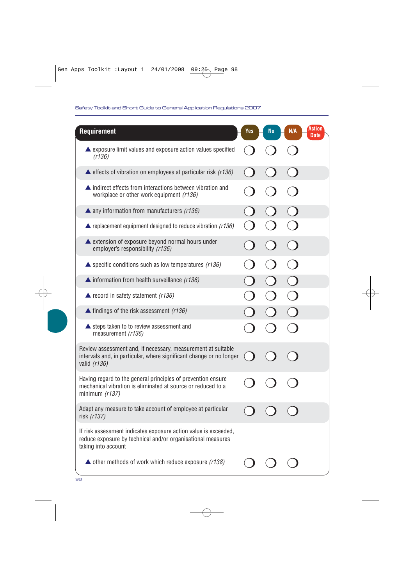| Requirement                                                                                                                                           | Yes | N <sub>0</sub> | N/A | Action<br>Date |
|-------------------------------------------------------------------------------------------------------------------------------------------------------|-----|----------------|-----|----------------|
| ▲ exposure limit values and exposure action values specified<br>(r136)                                                                                |     |                |     |                |
| ▲ effects of vibration on employees at particular risk (r136)                                                                                         |     |                |     |                |
| $\blacktriangle$ indirect effects from interactions between vibration and<br>workplace or other work equipment (r136)                                 |     |                |     |                |
| $\triangle$ any information from manufacturers (r136)                                                                                                 |     |                |     |                |
| $\triangle$ replacement equipment designed to reduce vibration (r136)                                                                                 |     |                |     |                |
| ▲ extension of exposure beyond normal hours under<br>employer's responsibility (r136)                                                                 |     |                |     |                |
| $\triangle$ specific conditions such as low temperatures (r136)                                                                                       |     |                |     |                |
| $\triangle$ information from health surveillance (r136)                                                                                               |     |                |     |                |
| $\triangle$ record in safety statement (r136)                                                                                                         |     |                |     |                |
| $\triangle$ findings of the risk assessment (r136)                                                                                                    |     |                |     |                |
| $\triangle$ steps taken to to review assessment and<br>measurement (r136)                                                                             |     |                |     |                |
| Review assessment and, if necessary, measurement at suitable<br>intervals and, in particular, where significant change or no longer<br>valid (r136)   |     |                |     |                |
| Having regard to the general principles of prevention ensure<br>mechanical vibration is eliminated at source or reduced to a<br>minimum $(137)$       |     |                |     |                |
| Adapt any measure to take account of employee at particular<br>risk (r137)                                                                            |     |                |     |                |
| If risk assessment indicates exposure action value is exceeded,<br>reduce exposure by technical and/or organisational measures<br>taking into account |     |                |     |                |
| $\triangle$ other methods of work which reduce exposure (r138)                                                                                        |     |                |     |                |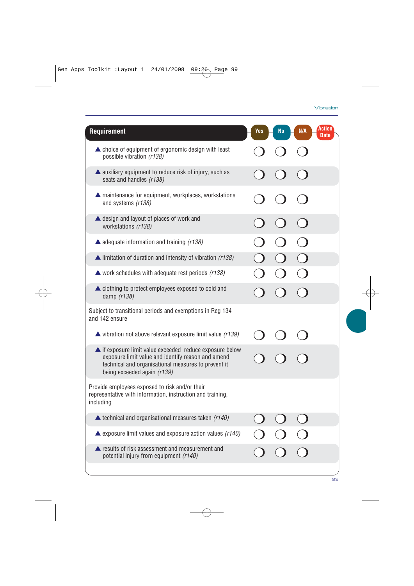| <b>Requirement</b>                                                                                                                                                                                   | Yes | <b>No</b> | Action<br>N/A<br>Date |
|------------------------------------------------------------------------------------------------------------------------------------------------------------------------------------------------------|-----|-----------|-----------------------|
| ▲ choice of equipment of ergonomic design with least<br>possible vibration (r138)                                                                                                                    |     |           |                       |
| ▲ auxiliary equipment to reduce risk of injury, such as<br>seats and handles (r138)                                                                                                                  |     |           |                       |
| ▲ maintenance for equipment, workplaces, workstations<br>and systems (r138)                                                                                                                          |     |           |                       |
| $\triangle$ design and layout of places of work and<br>workstations (r138)                                                                                                                           |     |           |                       |
| $\triangle$ adequate information and training (r138)                                                                                                                                                 |     |           |                       |
| $\triangle$ limitation of duration and intensity of vibration (r138)                                                                                                                                 |     |           |                       |
| $\triangle$ work schedules with adequate rest periods (r138)                                                                                                                                         |     |           |                       |
| ▲ clothing to protect employees exposed to cold and<br>damp (r138)                                                                                                                                   |     |           |                       |
| Subject to transitional periods and exemptions in Reg 134<br>and 142 ensure                                                                                                                          |     |           |                       |
| $\triangle$ vibration not above relevant exposure limit value (r139)                                                                                                                                 |     |           |                       |
| ▲ if exposure limit value exceeded reduce exposure below<br>exposure limit value and identify reason and amend<br>technical and organisational measures to prevent it<br>being exceeded again (r139) |     |           |                       |
| Provide employees exposed to risk and/or their<br>representative with information, instruction and training,<br>including                                                                            |     |           |                       |
| $\triangle$ technical and organisational measures taken (r140)                                                                                                                                       |     |           |                       |
| $\triangle$ exposure limit values and exposure action values (r140)                                                                                                                                  |     |           |                       |
| $\triangle$ results of risk assessment and measurement and<br>potential injury from equipment (r140)                                                                                                 |     |           |                       |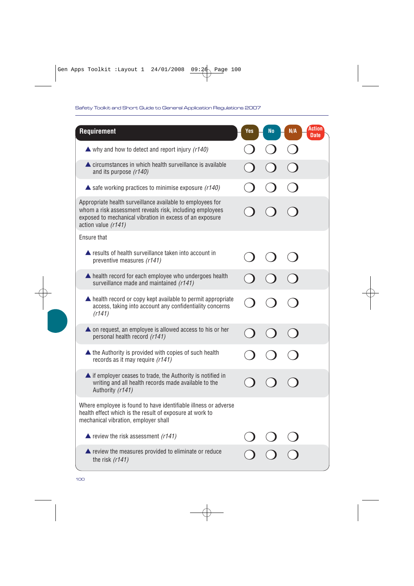| <b>Requirement</b>                                                                                                                                                                                        | Yes | N <sub>0</sub> | N/A | <b>Action</b><br>Date |
|-----------------------------------------------------------------------------------------------------------------------------------------------------------------------------------------------------------|-----|----------------|-----|-----------------------|
| $\triangle$ why and how to detect and report injury (r140)                                                                                                                                                |     |                |     |                       |
| $\triangle$ circumstances in which health surveillance is available<br>and its purpose (r140)                                                                                                             |     |                |     |                       |
| $\triangle$ safe working practices to minimise exposure (r140)                                                                                                                                            |     |                |     |                       |
| Appropriate health surveillance available to employees for<br>whom a risk assessment reveals risk, including employees<br>exposed to mechanical vibration in excess of an exposure<br>action value (r141) |     |                |     |                       |
| Fnsure that                                                                                                                                                                                               |     |                |     |                       |
| $\blacktriangle$ results of health surveillance taken into account in<br>preventive measures (r141)                                                                                                       |     |                |     |                       |
| ▲ health record for each employee who undergoes health<br>surveillance made and maintained (r141)                                                                                                         |     |                |     |                       |
| $\triangle$ health record or copy kept available to permit appropriate<br>access, taking into account any confidentiality concerns<br>(r141)                                                              |     |                |     |                       |
| ▲ on request, an employee is allowed access to his or her<br>personal health record (r141)                                                                                                                |     |                |     |                       |
| ▲ the Authority is provided with copies of such health<br>records as it may require (r141)                                                                                                                |     |                |     |                       |
| $\blacktriangle$ if employer ceases to trade, the Authority is notified in<br>writing and all health records made available to the<br>Authority (r141)                                                    |     |                |     |                       |
| Where employee is found to have identifiable illness or adverse<br>health effect which is the result of exposure at work to<br>mechanical vibration, employer shall                                       |     |                |     |                       |
| $\triangle$ review the risk assessment (r141)                                                                                                                                                             |     |                |     |                       |
| ▲ review the measures provided to eliminate or reduce<br>the risk $(r141)$                                                                                                                                |     |                |     |                       |